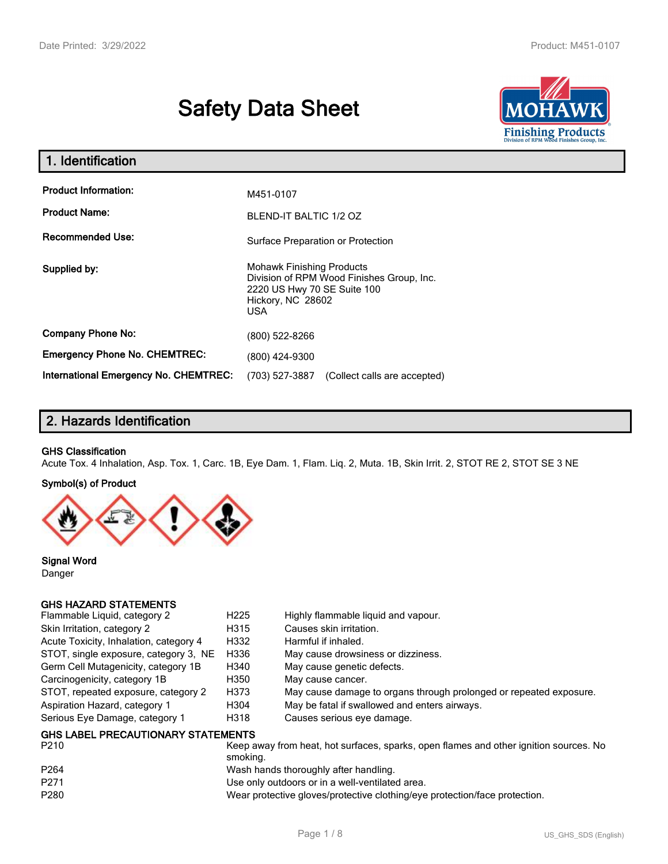# **Safety Data Sheet**



| 1. Identification                     |                                                                                                                                                 |
|---------------------------------------|-------------------------------------------------------------------------------------------------------------------------------------------------|
| <b>Product Information:</b>           | M451-0107                                                                                                                                       |
| <b>Product Name:</b>                  | BLEND-IT BALTIC 1/2 OZ                                                                                                                          |
| <b>Recommended Use:</b>               | Surface Preparation or Protection                                                                                                               |
| Supplied by:                          | <b>Mohawk Finishing Products</b><br>Division of RPM Wood Finishes Group, Inc.<br>2220 US Hwy 70 SE Suite 100<br>Hickory, NC 28602<br><b>USA</b> |
| <b>Company Phone No:</b>              | (800) 522-8266                                                                                                                                  |
| <b>Emergency Phone No. CHEMTREC:</b>  | (800) 424-9300                                                                                                                                  |
| International Emergency No. CHEMTREC: | (703) 527-3887<br>(Collect calls are accepted)                                                                                                  |

## **2. Hazards Identification**

#### **GHS Classification**

Acute Tox. 4 Inhalation, Asp. Tox. 1, Carc. 1B, Eye Dam. 1, Flam. Liq. 2, Muta. 1B, Skin Irrit. 2, STOT RE 2, STOT SE 3 NE

#### **Symbol(s) of Product**



**Signal Word** Danger

#### **GHS HAZARD STATEMENTS**

| Flammable Liquid, category 2              | H <sub>225</sub> | Highly flammable liquid and vapour.                                |
|-------------------------------------------|------------------|--------------------------------------------------------------------|
| Skin Irritation, category 2               | H315             | Causes skin irritation.                                            |
| Acute Toxicity, Inhalation, category 4    | H332             | Harmful if inhaled.                                                |
| STOT, single exposure, category 3, NE     | H336             | May cause drowsiness or dizziness.                                 |
| Germ Cell Mutagenicity, category 1B       | H340             | May cause genetic defects.                                         |
| Carcinogenicity, category 1B              | H350             | May cause cancer.                                                  |
| STOT, repeated exposure, category 2       | H373             | May cause damage to organs through prolonged or repeated exposure. |
| Aspiration Hazard, category 1             | H304             | May be fatal if swallowed and enters airways.                      |
| Serious Eye Damage, category 1            | H318             | Causes serious eye damage.                                         |
| <b>GHS LABEL PRECAUTIONARY STATEMENTS</b> |                  |                                                                    |

| P <sub>210</sub> | Keep away from heat, hot surfaces, sparks, open flames and other ignition sources. No<br>smoking. |
|------------------|---------------------------------------------------------------------------------------------------|
| P <sub>264</sub> | Wash hands thoroughly after handling.                                                             |
| P271             | Use only outdoors or in a well-ventilated area.                                                   |
| P <sub>280</sub> | Wear protective gloves/protective clothing/eye protection/face protection.                        |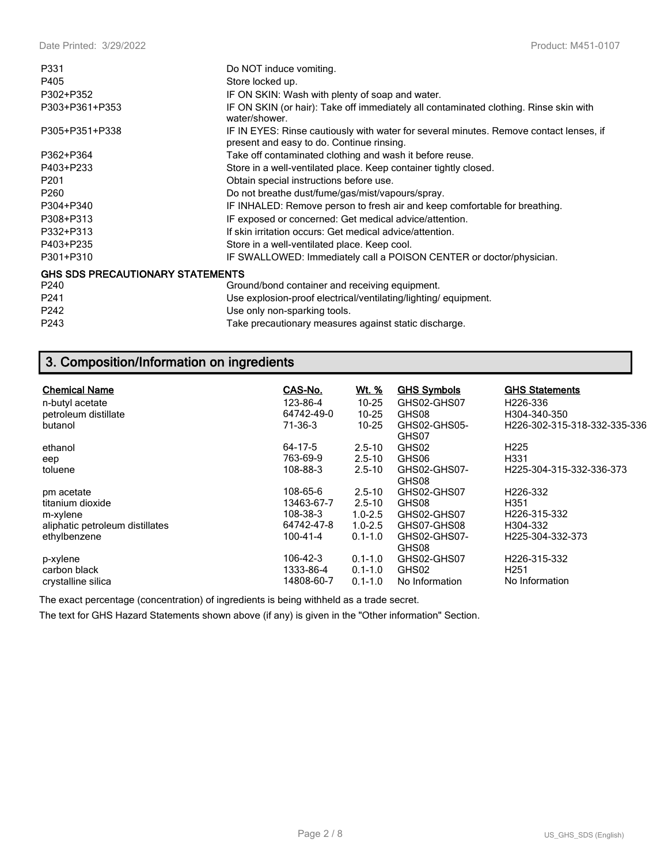| P331                                    | Do NOT induce vomiting.                                                                                                             |
|-----------------------------------------|-------------------------------------------------------------------------------------------------------------------------------------|
| P405                                    | Store locked up.                                                                                                                    |
| P302+P352                               | IF ON SKIN: Wash with plenty of soap and water.                                                                                     |
| P303+P361+P353                          | IF ON SKIN (or hair): Take off immediately all contaminated clothing. Rinse skin with<br>water/shower.                              |
| P305+P351+P338                          | IF IN EYES: Rinse cautiously with water for several minutes. Remove contact lenses, if<br>present and easy to do. Continue rinsing. |
| P362+P364                               | Take off contaminated clothing and wash it before reuse.                                                                            |
| P403+P233                               | Store in a well-ventilated place. Keep container tightly closed.                                                                    |
| P <sub>201</sub>                        | Obtain special instructions before use.                                                                                             |
| P <sub>260</sub>                        | Do not breathe dust/fume/gas/mist/vapours/spray.                                                                                    |
| P304+P340                               | IF INHALED: Remove person to fresh air and keep comfortable for breathing.                                                          |
| P308+P313                               | IF exposed or concerned: Get medical advice/attention.                                                                              |
| P332+P313                               | If skin irritation occurs: Get medical advice/attention.                                                                            |
| P403+P235                               | Store in a well-ventilated place. Keep cool.                                                                                        |
| P301+P310                               | IF SWALLOWED: Immediately call a POISON CENTER or doctor/physician.                                                                 |
| <b>GHS SDS PRECAUTIONARY STATEMENTS</b> |                                                                                                                                     |
| P <sub>240</sub>                        | Ground/bond container and receiving equipment.                                                                                      |
| P <sub>241</sub>                        | Use explosion-proof electrical/ventilating/lighting/equipment.                                                                      |
| P242                                    | Use only non-sparking tools.                                                                                                        |
| P243                                    | Take precautionary measures against static discharge.                                                                               |

## **3. Composition/Information on ingredients**

| <b>Chemical Name</b>            | CAS-No.        | <u>Wt. %</u> | <b>GHS Symbols</b>    | <b>GHS Statements</b>         |
|---------------------------------|----------------|--------------|-----------------------|-------------------------------|
| n-butyl acetate                 | 123-86-4       | $10 - 25$    | GHS02-GHS07           | H226-336                      |
| petroleum distillate            | 64742-49-0     | $10 - 25$    | GHS08                 | H304-340-350                  |
| butanol                         | $71-36-3$      | $10 - 25$    | GHS02-GHS05-<br>GHS07 | H226-302-315-318-332-335-336  |
| ethanol                         | 64-17-5        | $2.5 - 10$   | GHS02                 | H <sub>225</sub>              |
| eep                             | 763-69-9       | $2.5 - 10$   | GHS06                 | H331                          |
| toluene                         | 108-88-3       | $2.5 - 10$   | GHS02-GHS07-<br>GHS08 | H225-304-315-332-336-373      |
| pm acetate                      | 108-65-6       | $2.5 - 10$   | GHS02-GHS07           | H226-332                      |
| titanium dioxide                | 13463-67-7     | $2.5 - 10$   | GHS08                 | H351                          |
| m-xylene                        | 108-38-3       | $1.0 - 2.5$  | GHS02-GHS07           | H226-315-332                  |
| aliphatic petroleum distillates | 64742-47-8     | $1.0 - 2.5$  | GHS07-GHS08           | H304-332                      |
| ethylbenzene                    | $100 - 41 - 4$ | $0.1 - 1.0$  | GHS02-GHS07-<br>GHS08 | H <sub>225</sub> -304-332-373 |
| p-xylene                        | 106-42-3       | $0.1 - 1.0$  | GHS02-GHS07           | H226-315-332                  |
| carbon black                    | 1333-86-4      | $0.1 - 1.0$  | GHS02                 | H <sub>251</sub>              |
| crystalline silica              | 14808-60-7     | $0.1 - 1.0$  | No Information        | No Information                |

The exact percentage (concentration) of ingredients is being withheld as a trade secret.

The text for GHS Hazard Statements shown above (if any) is given in the "Other information" Section.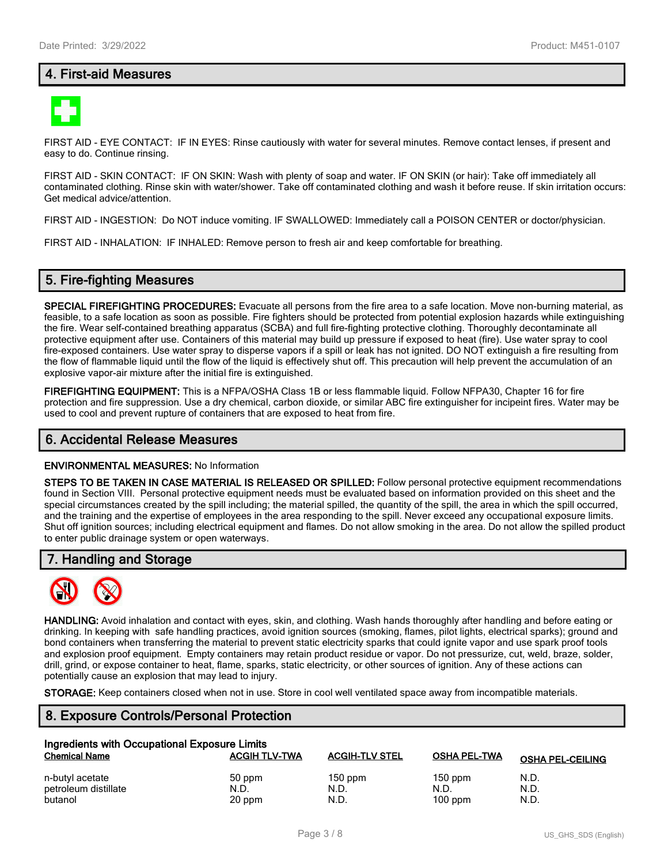## **4. First-aid Measures**



FIRST AID - EYE CONTACT: IF IN EYES: Rinse cautiously with water for several minutes. Remove contact lenses, if present and easy to do. Continue rinsing.

FIRST AID - SKIN CONTACT: IF ON SKIN: Wash with plenty of soap and water. IF ON SKIN (or hair): Take off immediately all contaminated clothing. Rinse skin with water/shower. Take off contaminated clothing and wash it before reuse. If skin irritation occurs: Get medical advice/attention.

FIRST AID - INGESTION: Do NOT induce vomiting. IF SWALLOWED: Immediately call a POISON CENTER or doctor/physician.

FIRST AID - INHALATION: IF INHALED: Remove person to fresh air and keep comfortable for breathing.

## **5. Fire-fighting Measures**

**SPECIAL FIREFIGHTING PROCEDURES:** Evacuate all persons from the fire area to a safe location. Move non-burning material, as feasible, to a safe location as soon as possible. Fire fighters should be protected from potential explosion hazards while extinguishing the fire. Wear self-contained breathing apparatus (SCBA) and full fire-fighting protective clothing. Thoroughly decontaminate all protective equipment after use. Containers of this material may build up pressure if exposed to heat (fire). Use water spray to cool fire-exposed containers. Use water spray to disperse vapors if a spill or leak has not ignited. DO NOT extinguish a fire resulting from the flow of flammable liquid until the flow of the liquid is effectively shut off. This precaution will help prevent the accumulation of an explosive vapor-air mixture after the initial fire is extinguished.

**FIREFIGHTING EQUIPMENT:** This is a NFPA/OSHA Class 1B or less flammable liquid. Follow NFPA30, Chapter 16 for fire protection and fire suppression. Use a dry chemical, carbon dioxide, or similar ABC fire extinguisher for incipeint fires. Water may be used to cool and prevent rupture of containers that are exposed to heat from fire.

#### **6. Accidental Release Measures**

#### **ENVIRONMENTAL MEASURES:** No Information

**STEPS TO BE TAKEN IN CASE MATERIAL IS RELEASED OR SPILLED:** Follow personal protective equipment recommendations found in Section VIII. Personal protective equipment needs must be evaluated based on information provided on this sheet and the special circumstances created by the spill including; the material spilled, the quantity of the spill, the area in which the spill occurred, and the training and the expertise of employees in the area responding to the spill. Never exceed any occupational exposure limits. Shut off ignition sources; including electrical equipment and flames. Do not allow smoking in the area. Do not allow the spilled product to enter public drainage system or open waterways.

#### **7. Handling and Storage**



**HANDLING:** Avoid inhalation and contact with eyes, skin, and clothing. Wash hands thoroughly after handling and before eating or drinking. In keeping with safe handling practices, avoid ignition sources (smoking, flames, pilot lights, electrical sparks); ground and bond containers when transferring the material to prevent static electricity sparks that could ignite vapor and use spark proof tools and explosion proof equipment. Empty containers may retain product residue or vapor. Do not pressurize, cut, weld, braze, solder, drill, grind, or expose container to heat, flame, sparks, static electricity, or other sources of ignition. Any of these actions can potentially cause an explosion that may lead to injury.

**STORAGE:** Keep containers closed when not in use. Store in cool well ventilated space away from incompatible materials.

## **8. Exposure Controls/Personal Protection**

| Ingredients with Occupational Exposure Limits |                      |                       |                     |                         |  |  |
|-----------------------------------------------|----------------------|-----------------------|---------------------|-------------------------|--|--|
| <b>Chemical Name</b>                          | <b>ACGIH TLV-TWA</b> | <b>ACGIH-TLV STEL</b> | <b>OSHA PEL-TWA</b> | <b>OSHA PEL-CEILING</b> |  |  |
| n-butyl acetate                               | 50 ppm               | $150$ ppm             | $150$ ppm           | N.D.                    |  |  |
| petroleum distillate                          | N.D.                 | N.D.                  | N.D.                | N.D.                    |  |  |
| butanol                                       | 20 ppm               | N.D.                  | $100$ ppm           | N.D.                    |  |  |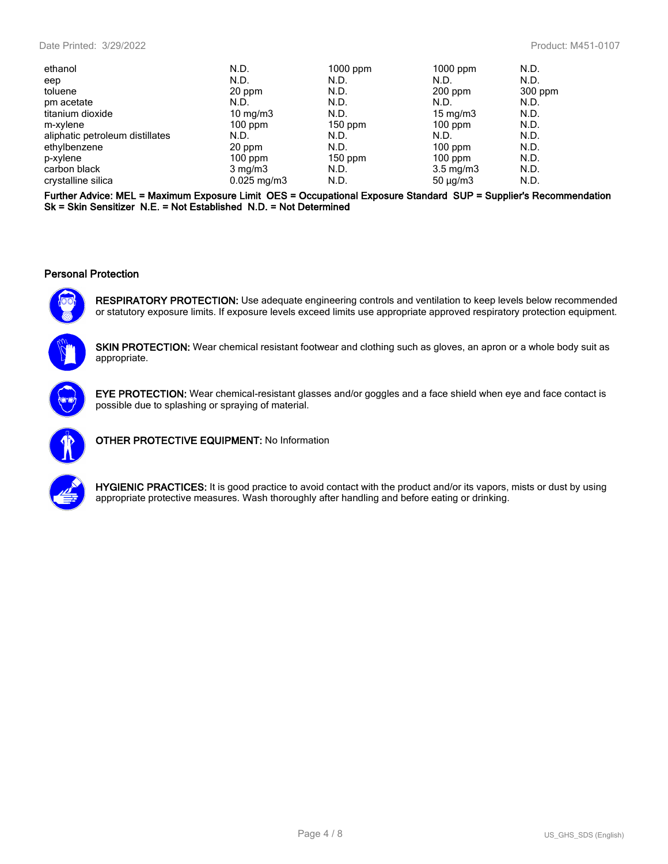| ethanol                         | N.D.             | 1000 ppm  | 1000 ppm           | N.D.    |
|---------------------------------|------------------|-----------|--------------------|---------|
| eep                             | N.D.             | N.D.      | N.D.               | N.D.    |
| toluene                         | 20 ppm           | N.D.      | $200$ ppm          | 300 ppm |
| pm acetate                      | N.D.             | N.D.      | N.D.               | N.D.    |
| titanium dioxide                | 10 mg/m $3$      | N.D.      | $15 \text{ mg/m}$  | N.D.    |
| m-xylene                        | $100$ ppm        | $150$ ppm | $100$ ppm          | N.D.    |
| aliphatic petroleum distillates | N.D.             | N.D.      | N.D.               | N.D.    |
| ethylbenzene                    | 20 ppm           | N.D.      | $100$ ppm          | N.D.    |
| p-xylene                        | $100$ ppm        | $150$ ppm | $100$ ppm          | N.D.    |
| carbon black                    | $3 \text{ mg/m}$ | N.D.      | $3.5 \text{ mg/m}$ | N.D.    |
| crystalline silica              | $0.025$ mg/m3    | N.D.      | $50 \mu q/m3$      | N.D.    |
|                                 |                  |           |                    |         |

**Further Advice: MEL = Maximum Exposure Limit OES = Occupational Exposure Standard SUP = Supplier's Recommendation Sk = Skin Sensitizer N.E. = Not Established N.D. = Not Determined**

#### **Personal Protection**



**RESPIRATORY PROTECTION:** Use adequate engineering controls and ventilation to keep levels below recommended or statutory exposure limits. If exposure levels exceed limits use appropriate approved respiratory protection equipment.

**SKIN PROTECTION:** Wear chemical resistant footwear and clothing such as gloves, an apron or a whole body suit as appropriate.



**EYE PROTECTION:** Wear chemical-resistant glasses and/or goggles and a face shield when eye and face contact is possible due to splashing or spraying of material.



**OTHER PROTECTIVE EQUIPMENT:** No Information



**HYGIENIC PRACTICES:** It is good practice to avoid contact with the product and/or its vapors, mists or dust by using appropriate protective measures. Wash thoroughly after handling and before eating or drinking.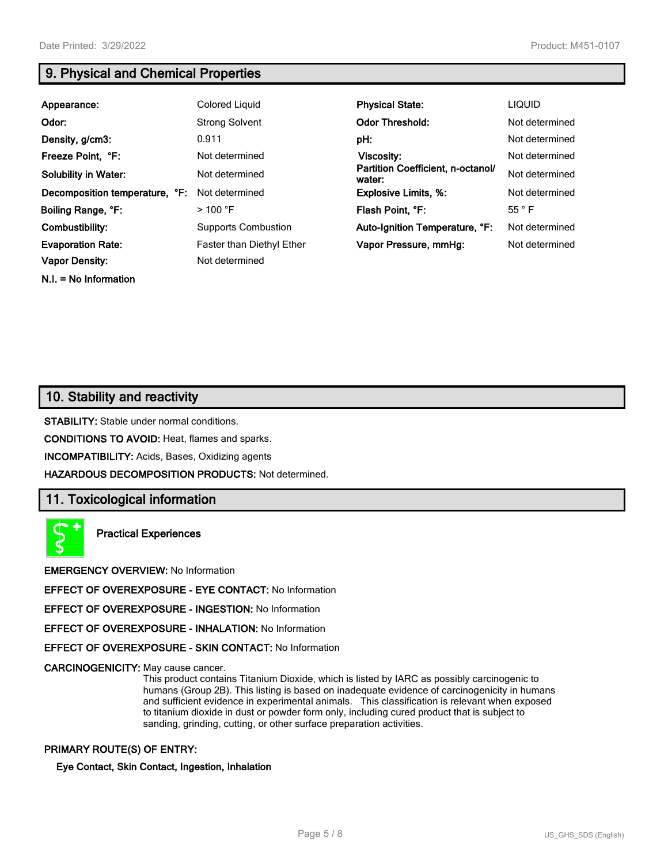**N.I. = No Information**

## **9. Physical and Chemical Properties**

| Appearance:                    | Colored Liquid                   | <b>Physical State:</b>                      | <b>LIQUID</b>  |
|--------------------------------|----------------------------------|---------------------------------------------|----------------|
| Odor:                          | <b>Strong Solvent</b>            | <b>Odor Threshold:</b>                      | Not determined |
| Density, g/cm3:                | 0.911                            | pH:                                         | Not determined |
| Freeze Point, °F:              | Not determined                   | Viscosity:                                  | Not determined |
| <b>Solubility in Water:</b>    | Not determined                   | Partition Coefficient, n-octanol/<br>water: | Not determined |
| Decomposition temperature, °F: | Not determined                   | <b>Explosive Limits, %:</b>                 | Not determined |
| Boiling Range, °F:             | $>$ 100 °F                       | Flash Point, °F:                            | $55^{\circ}$ F |
| Combustibility:                | <b>Supports Combustion</b>       | Auto-Ignition Temperature, °F:              | Not determined |
| <b>Evaporation Rate:</b>       | <b>Faster than Diethyl Ether</b> | Vapor Pressure, mmHg:                       | Not determined |
| <b>Vapor Density:</b>          | Not determined                   |                                             |                |

## **10. Stability and reactivity**

**STABILITY:** Stable under normal conditions.

**CONDITIONS TO AVOID:** Heat, flames and sparks.

**INCOMPATIBILITY:** Acids, Bases, Oxidizing agents

**HAZARDOUS DECOMPOSITION PRODUCTS:** Not determined.

## **11. Toxicological information**



**Practical Experiences**

**EMERGENCY OVERVIEW:** No Information

**EFFECT OF OVEREXPOSURE - EYE CONTACT:** No Information

**EFFECT OF OVEREXPOSURE - INGESTION:** No Information

**EFFECT OF OVEREXPOSURE - INHALATION:** No Information

**EFFECT OF OVEREXPOSURE - SKIN CONTACT:** No Information

**CARCINOGENICITY:** May cause cancer.

This product contains Titanium Dioxide, which is listed by IARC as possibly carcinogenic to humans (Group 2B). This listing is based on inadequate evidence of carcinogenicity in humans and sufficient evidence in experimental animals. This classification is relevant when exposed to titanium dioxide in dust or powder form only, including cured product that is subject to sanding, grinding, cutting, or other surface preparation activities.

#### **PRIMARY ROUTE(S) OF ENTRY:**

#### **Eye Contact, Skin Contact, Ingestion, Inhalation**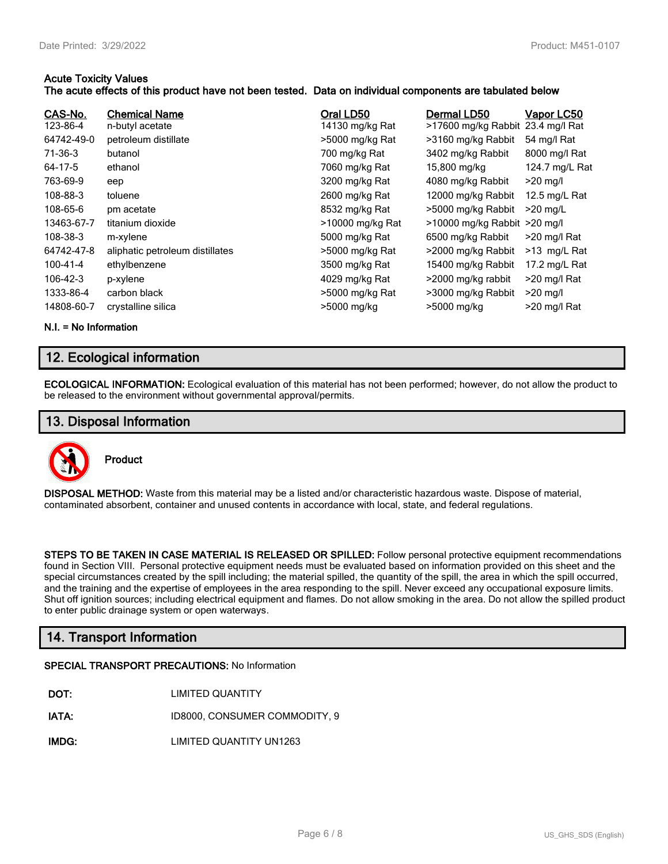#### **Acute Toxicity Values**

#### **The acute effects of this product have not been tested. Data on individual components are tabulated below**

| CAS-No.<br>123-86-4<br>64742-49-0<br>$71-36-3$<br>64-17-5<br>763-69-9<br>108-88-3<br>108-65-6<br>13463-67-7<br>108-38-3<br>64742-47-8<br>100-41-4<br>106-42-3<br>1333-86-4 | <b>Chemical Name</b><br>n-butyl acetate<br>petroleum distillate<br>butanol<br>ethanol<br>eep<br>toluene<br>pm acetate<br>titanium dioxide<br>m-xylene<br>aliphatic petroleum distillates<br>ethylbenzene<br>p-xylene<br>carbon black | Oral LD50<br>14130 mg/kg Rat<br>>5000 mg/kg Rat<br>700 mg/kg Rat<br>7060 mg/kg Rat<br>3200 mg/kg Rat<br>2600 mg/kg Rat<br>8532 mg/kg Rat<br>>10000 mg/kg Rat<br>5000 mg/kg Rat<br>>5000 mg/kg Rat<br>3500 mg/kg Rat<br>4029 mg/kg Rat | Dermal LD50<br>>17600 mg/kg Rabbit 23.4 mg/l Rat<br>>3160 mg/kg Rabbit<br>3402 mg/kg Rabbit<br>15,800 mg/kg<br>4080 mg/kg Rabbit<br>12000 mg/kg Rabbit<br>>5000 mg/kg Rabbit<br>$>10000$ mg/kg Rabbit $>20$ mg/l<br>6500 mg/kg Rabbit<br>>2000 mg/kg Rabbit<br>15400 mg/kg Rabbit<br>>2000 mg/kg rabbit | Vapor LC50<br>54 mg/l Rat<br>8000 mg/l Rat<br>124.7 mg/L Rat<br>$>20$ mg/l<br>12.5 mg/L Rat<br>$>20$ mg/L<br>$>$ 20 mg/l Rat<br>$>13$ mg/L Rat<br>17.2 mg/L Rat<br>>20 mg/l Rat<br>$>20$ mg/l |
|----------------------------------------------------------------------------------------------------------------------------------------------------------------------------|--------------------------------------------------------------------------------------------------------------------------------------------------------------------------------------------------------------------------------------|---------------------------------------------------------------------------------------------------------------------------------------------------------------------------------------------------------------------------------------|---------------------------------------------------------------------------------------------------------------------------------------------------------------------------------------------------------------------------------------------------------------------------------------------------------|-----------------------------------------------------------------------------------------------------------------------------------------------------------------------------------------------|
| 14808-60-7                                                                                                                                                                 | crystalline silica                                                                                                                                                                                                                   | >5000 mg/kg Rat<br>>5000 mg/kg                                                                                                                                                                                                        | >3000 mg/kg Rabbit<br>>5000 mg/kg                                                                                                                                                                                                                                                                       | $>$ 20 mg/l Rat                                                                                                                                                                               |
|                                                                                                                                                                            |                                                                                                                                                                                                                                      |                                                                                                                                                                                                                                       |                                                                                                                                                                                                                                                                                                         |                                                                                                                                                                                               |

**N.I. = No Information**

## **12. Ecological information**

**ECOLOGICAL INFORMATION:** Ecological evaluation of this material has not been performed; however, do not allow the product to be released to the environment without governmental approval/permits.

### **13. Disposal Information**



**Product**

**DISPOSAL METHOD:** Waste from this material may be a listed and/or characteristic hazardous waste. Dispose of material, contaminated absorbent, container and unused contents in accordance with local, state, and federal regulations.

**STEPS TO BE TAKEN IN CASE MATERIAL IS RELEASED OR SPILLED:** Follow personal protective equipment recommendations found in Section VIII. Personal protective equipment needs must be evaluated based on information provided on this sheet and the special circumstances created by the spill including; the material spilled, the quantity of the spill, the area in which the spill occurred, and the training and the expertise of employees in the area responding to the spill. Never exceed any occupational exposure limits. Shut off ignition sources; including electrical equipment and flames. Do not allow smoking in the area. Do not allow the spilled product to enter public drainage system or open waterways.

## **14. Transport Information**

#### **SPECIAL TRANSPORT PRECAUTIONS:** No Information

| DOT: | <b>LIMITED QUANTITY</b> |
|------|-------------------------|
|      |                         |

**IATA:** ID8000, CONSUMER COMMODITY, 9

**IMDG:** LIMITED QUANTITY UN1263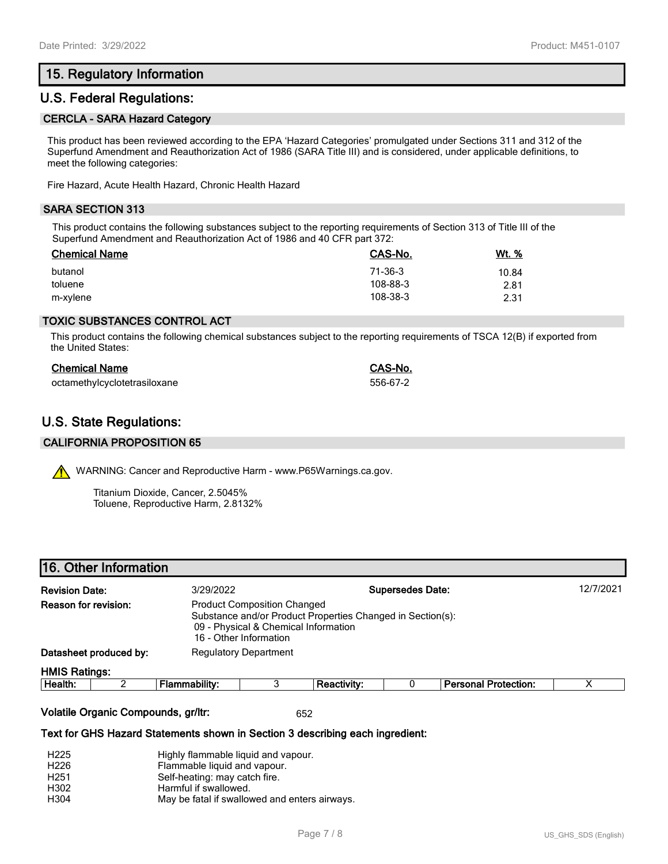## **15. Regulatory Information**

## **U.S. Federal Regulations:**

#### **CERCLA - SARA Hazard Category**

This product has been reviewed according to the EPA 'Hazard Categories' promulgated under Sections 311 and 312 of the Superfund Amendment and Reauthorization Act of 1986 (SARA Title III) and is considered, under applicable definitions, to meet the following categories:

Fire Hazard, Acute Health Hazard, Chronic Health Hazard

#### **SARA SECTION 313**

This product contains the following substances subject to the reporting requirements of Section 313 of Title III of the Superfund Amendment and Reauthorization Act of 1986 and 40 CFR part 372:

| <b>Chemical Name</b> | CAS-No.  | Wt. % |
|----------------------|----------|-------|
| butanol              | 71-36-3  | 10.84 |
| toluene              | 108-88-3 | 2.81  |
| m-xylene             | 108-38-3 | 2.31  |

#### **TOXIC SUBSTANCES CONTROL ACT**

This product contains the following chemical substances subject to the reporting requirements of TSCA 12(B) if exported from the United States:

| <b>Chemical Name</b>         | CAS-No.  |
|------------------------------|----------|
| octamethylcyclotetrasiloxane | 556-67-2 |

## **U.S. State Regulations:**

#### **CALIFORNIA PROPOSITION 65**

WARNING: Cancer and Reproductive Harm - www.P65Warnings.ca.gov.

Titanium Dioxide, Cancer, 2.5045% Toluene, Reproductive Harm, 2.8132%

|  |  |  | 16. Other Information |
|--|--|--|-----------------------|
|--|--|--|-----------------------|

| <b>Revision Date:</b>  |  | 3/29/2022                                                                                                                                                          |  |                    | <b>Supersedes Date:</b> |                             | 12/7/2021 |
|------------------------|--|--------------------------------------------------------------------------------------------------------------------------------------------------------------------|--|--------------------|-------------------------|-----------------------------|-----------|
| Reason for revision:   |  | <b>Product Composition Changed</b><br>Substance and/or Product Properties Changed in Section(s):<br>09 - Physical & Chemical Information<br>16 - Other Information |  |                    |                         |                             |           |
| Datasheet produced by: |  | <b>Regulatory Department</b>                                                                                                                                       |  |                    |                         |                             |           |
| <b>HMIS Ratings:</b>   |  |                                                                                                                                                                    |  |                    |                         |                             |           |
| Health:                |  | Flammability:                                                                                                                                                      |  | <b>Reactivity:</b> |                         | <b>Personal Protection:</b> | х         |

#### **Volatile Organic Compounds, gr/ltr:** 652

#### **Text for GHS Hazard Statements shown in Section 3 describing each ingredient:**

| H <sub>225</sub> | Highly flammable liquid and vapour.           |
|------------------|-----------------------------------------------|
| H <sub>226</sub> | Flammable liquid and vapour.                  |
| H <sub>251</sub> | Self-heating: may catch fire.                 |
| H302             | Harmful if swallowed.                         |
| H304             | May be fatal if swallowed and enters airways. |